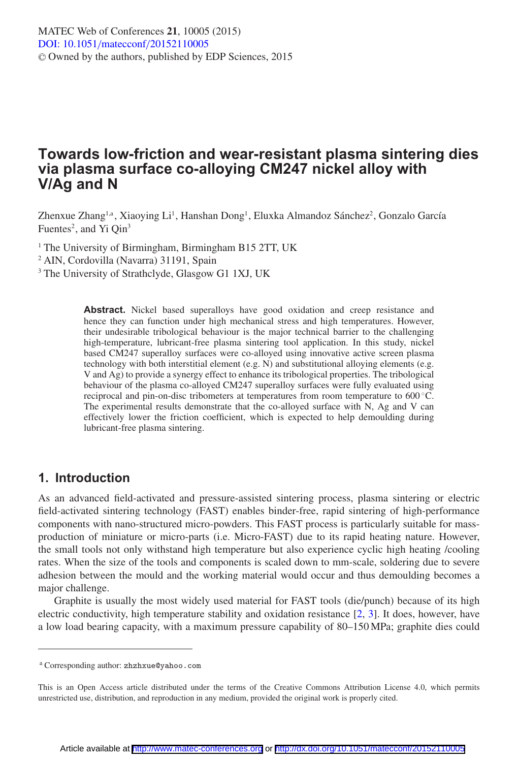# **Towards low-friction and wear-resistant plasma sintering dies via plasma surface co-alloying CM247 nickel alloy with V/Ag and N**

Zhenxue Zhang<sup>1,a</sup>, Xiaoying Li<sup>1</sup>, Hanshan Dong<sup>1</sup>, Eluxka Almandoz Sánchez<sup>2</sup>, Gonzalo García Fuentes<sup>2</sup>, and Yi Qin<sup>3</sup>

<sup>1</sup> The University of Birmingham, Birmingham B15 2TT, UK

<sup>2</sup> AIN, Cordovilla (Navarra) 31191, Spain

<sup>3</sup> The University of Strathclyde, Glasgow G1 1XJ, UK

**Abstract.** Nickel based superalloys have good oxidation and creep resistance and hence they can function under high mechanical stress and high temperatures. However, their undesirable tribological behaviour is the major technical barrier to the challenging high-temperature, lubricant-free plasma sintering tool application. In this study, nickel based CM247 superalloy surfaces were co-alloyed using innovative active screen plasma technology with both interstitial element (e.g. N) and substitutional alloying elements (e.g. V and Ag) to provide a synergy effect to enhance its tribological properties. The tribological behaviour of the plasma co-alloyed CM247 superalloy surfaces were fully evaluated using reciprocal and pin-on-disc tribometers at temperatures from room temperature to 600 ◦C. The experimental results demonstrate that the co-alloyed surface with N, Ag and V can effectively lower the friction coefficient, which is expected to help demoulding during lubricant-free plasma sintering.

# **1. Introduction**

As an advanced field-activated and pressure-assisted sintering process, plasma sintering or electric field-activated sintering technology (FAST) enables binder-free, rapid sintering of high-performance components with nano-structured micro-powders. This FAST process is particularly suitable for massproduction of miniature or micro-parts (i.e. Micro-FAST) due to its rapid heating nature. However, the small tools not only withstand high temperature but also experience cyclic high heating /cooling rates. When the size of the tools and components is scaled down to mm-scale, soldering due to severe adhesion between the mould and the working material would occur and thus demoulding becomes a major challenge.

Graphite is usually the most widely used material for FAST tools (die/punch) because of its high electric conductivity, high temperature stability and oxidation resistance [\[2](#page-6-0), [3\]](#page-6-1). It does, however, have a low load bearing capacity, with a maximum pressure capability of 80–150 MPa; graphite dies could

<sup>a</sup> Corresponding author: zhzhxue@yahoo.com

This is an Open Access article distributed under the terms of the Creative Commons Attribution License 4.0, which permits unrestricted use, distribution, and reproduction in any medium, provided the original work is properly cited.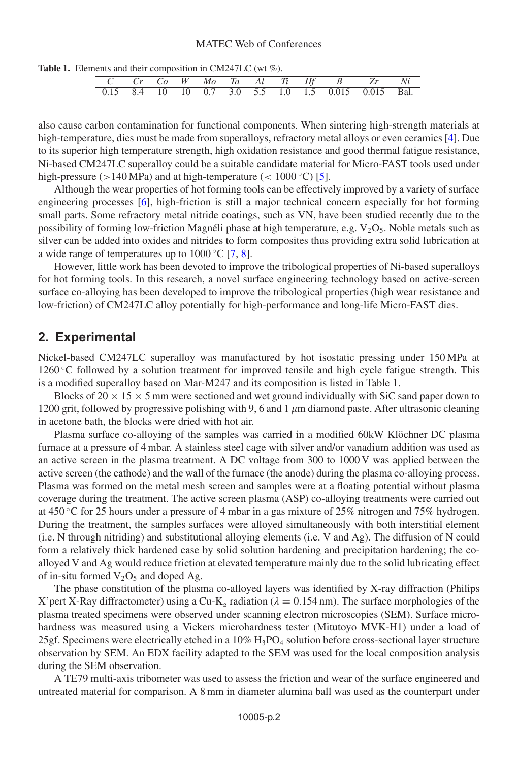**Table 1.** Elements and their composition in CM247LC (wt %).

|  |  |  |  |  | C Cr Co W Mo Ta Al Ti Hf B Zr Ni                    |  |
|--|--|--|--|--|-----------------------------------------------------|--|
|  |  |  |  |  | 0.15 8.4 10 10 0.7 3.0 5.5 1.0 1.5 0.015 0.015 Bal. |  |

also cause carbon contamination for functional components. When sintering high-strength materials at high-temperature, dies must be made from superalloys, refractory metal alloys or even ceramics [\[4](#page-6-2)]. Due to its superior high temperature strength, high oxidation resistance and good thermal fatigue resistance, Ni-based CM247LC superalloy could be a suitable candidate material for Micro-FAST tools used under high-pressure ( $>140$  MPa) and at high-temperature ( $< 1000$  °C) [\[5](#page-6-3)].

Although the wear properties of hot forming tools can be effectively improved by a variety of surface engineering processes [\[6](#page-6-4)], high-friction is still a major technical concern especially for hot forming small parts. Some refractory metal nitride coatings, such as VN, have been studied recently due to the possibility of forming low-friction Magnéli phase at high temperature, e.g.  $V_2O_5$ . Noble metals such as silver can be added into oxides and nitrides to form composites thus providing extra solid lubrication at a wide range of temperatures up to  $1000\degree\text{C}$  [\[7](#page-6-5), [8](#page-6-6)].

However, little work has been devoted to improve the tribological properties of Ni-based superalloys for hot forming tools. In this research, a novel surface engineering technology based on active-screen surface co-alloying has been developed to improve the tribological properties (high wear resistance and low-friction) of CM247LC alloy potentially for high-performance and long-life Micro-FAST dies.

#### **2. Experimental**

Nickel-based CM247LC superalloy was manufactured by hot isostatic pressing under 150 MPa at 1260 ◦C followed by a solution treatment for improved tensile and high cycle fatigue strength. This is a modified superalloy based on Mar-M247 and its composition is listed in Table 1.

Blocks of  $20 \times 15 \times 5$  mm were sectioned and wet ground individually with SiC sand paper down to 1200 grit, followed by progressive polishing with 9, 6 and 1  $\mu$ m diamond paste. After ultrasonic cleaning in acetone bath, the blocks were dried with hot air.

Plasma surface co-alloying of the samples was carried in a modified 60kW Klöchner DC plasma furnace at a pressure of 4 mbar. A stainless steel cage with silver and/or vanadium addition was used as an active screen in the plasma treatment. A DC voltage from 300 to 1000 V was applied between the active screen (the cathode) and the wall of the furnace (the anode) during the plasma co-alloying process. Plasma was formed on the metal mesh screen and samples were at a floating potential without plasma coverage during the treatment. The active screen plasma (ASP) co-alloying treatments were carried out at 450 ◦C for 25 hours under a pressure of 4 mbar in a gas mixture of 25% nitrogen and 75% hydrogen. During the treatment, the samples surfaces were alloyed simultaneously with both interstitial element (i.e. N through nitriding) and substitutional alloying elements (i.e. V and Ag). The diffusion of N could form a relatively thick hardened case by solid solution hardening and precipitation hardening; the coalloyed V and Ag would reduce friction at elevated temperature mainly due to the solid lubricating effect of in-situ formed  $V_2O_5$  and doped Ag.

The phase constitution of the plasma co-alloyed layers was identified by X-ray diffraction (Philips X'pert X-Ray diffractometer) using a Cu-K<sub> $\alpha$ </sub> radiation ( $\lambda = 0.154$  nm). The surface morphologies of the plasma treated specimens were observed under scanning electron microscopies (SEM). Surface microhardness was measured using a Vickers microhardness tester (Mitutoyo MVK-H1) under a load of 25gf. Specimens were electrically etched in a  $10\%$  H<sub>3</sub>PO<sub>4</sub> solution before cross-sectional layer structure observation by SEM. An EDX facility adapted to the SEM was used for the local composition analysis during the SEM observation.

A TE79 multi-axis tribometer was used to assess the friction and wear of the surface engineered and untreated material for comparison. A 8 mm in diameter alumina ball was used as the counterpart under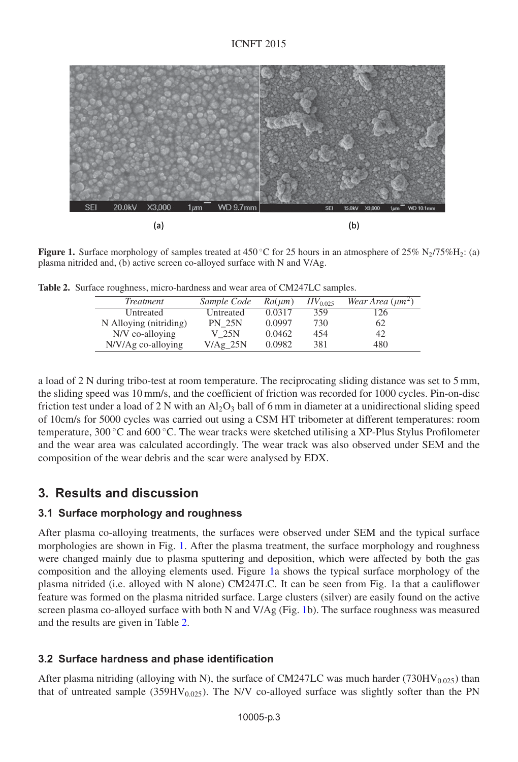<span id="page-2-0"></span>

**Figure 1.** Surface morphology of samples treated at 450 °C for 25 hours in an atmosphere of 25% N<sub>2</sub>/75%H<sub>2</sub>: (a) plasma nitrided and, (b) active screen co-alloyed surface with N and V/Ag.

<span id="page-2-1"></span>

|  | Table 2. Surface roughness, micro-hardness and wear area of CM247LC samples. |  |  |  |  |
|--|------------------------------------------------------------------------------|--|--|--|--|
|--|------------------------------------------------------------------------------|--|--|--|--|

| Treatment              | Sample Code   | $Ra(\mu m)$ | $HV_{0.025}$ | Wear Area $(\mu m^2)$ |
|------------------------|---------------|-------------|--------------|-----------------------|
| Untreated              | Untreated     | 0.0317      | 359          | '26                   |
| N Alloying (nitriding) | <b>PN 25N</b> | 0.0997      | 730          | 62                    |
| N/V co-alloying        | V 25N         | 0.0462      | 454          | 42                    |
| N/V/Ag co-alloying     | V/Ag 25N      | 0.0982      | 381          | 480                   |

a load of 2 N during tribo-test at room temperature. The reciprocating sliding distance was set to 5 mm, the sliding speed was 10 mm/s, and the coefficient of friction was recorded for 1000 cycles. Pin-on-disc friction test under a load of 2 N with an  $A<sub>1</sub>Q<sub>3</sub>$  ball of 6 mm in diameter at a unidirectional sliding speed of 10cm/s for 5000 cycles was carried out using a CSM HT tribometer at different temperatures: room temperature, 300 ◦C and 600 ◦C. The wear tracks were sketched utilising a XP-Plus Stylus Profilometer and the wear area was calculated accordingly. The wear track was also observed under SEM and the composition of the wear debris and the scar were analysed by EDX.

# **3. Results and discussion**

### **3.1 Surface morphology and roughness**

After plasma co-alloying treatments, the surfaces were observed under SEM and the typical surface morphologies are shown in Fig. [1.](#page-2-0) After the plasma treatment, the surface morphology and roughness were changed mainly due to plasma sputtering and deposition, which were affected by both the gas composition and the alloying elements used. Figure [1a](#page-2-0) shows the typical surface morphology of the plasma nitrided (i.e. alloyed with N alone) CM247LC. It can be seen from Fig. 1a that a cauliflower feature was formed on the plasma nitrided surface. Large clusters (silver) are easily found on the active screen plasma co-alloyed surface with both N and V/Ag (Fig. [1b](#page-2-0)). The surface roughness was measured and the results are given in Table [2.](#page-2-1)

### **3.2 Surface hardness and phase identification**

After plasma nitriding (alloying with N), the surface of CM247LC was much harder (730HV $_{0.025}$ ) than that of untreated sample (359HV $_{0.025}$ ). The N/V co-alloyed surface was slightly softer than the PN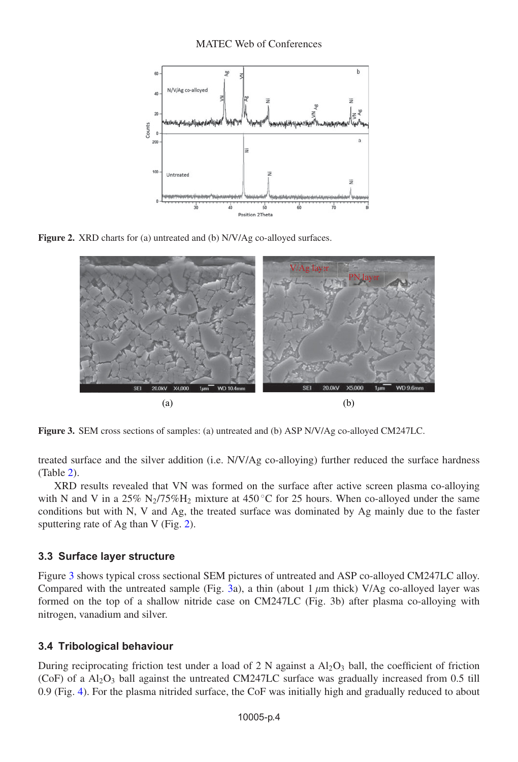<span id="page-3-0"></span>

<span id="page-3-1"></span>**Figure 2.** XRD charts for (a) untreated and (b) N/V/Ag co-alloyed surfaces.



**Figure 3.** SEM cross sections of samples: (a) untreated and (b) ASP N/V/Ag co-alloyed CM247LC.

treated surface and the silver addition (i.e. N/V/Ag co-alloying) further reduced the surface hardness (Table [2\)](#page-2-1).

XRD results revealed that VN was formed on the surface after active screen plasma co-alloying with N and V in a 25% N<sub>2</sub>/75%H<sub>2</sub> mixture at 450 °C for 25 hours. When co-alloyed under the same conditions but with N, V and Ag, the treated surface was dominated by Ag mainly due to the faster sputtering rate of Ag than V (Fig. [2\)](#page-3-0).

### **3.3 Surface layer structure**

Figure [3](#page-3-1) shows typical cross sectional SEM pictures of untreated and ASP co-alloyed CM247LC alloy. Compared with the untreated sample (Fig. [3a](#page-3-1)), a thin (about  $1 \mu m$  thick) V/Ag co-alloyed layer was formed on the top of a shallow nitride case on CM247LC (Fig. 3b) after plasma co-alloying with nitrogen, vanadium and silver.

### **3.4 Tribological behaviour**

During reciprocating friction test under a load of 2 N against a  $Al_2O_3$  ball, the coefficient of friction (CoF) of a  $Al_2O_3$  ball against the untreated CM247LC surface was gradually increased from 0.5 till 0.9 (Fig. [4\)](#page-4-0). For the plasma nitrided surface, the CoF was initially high and gradually reduced to about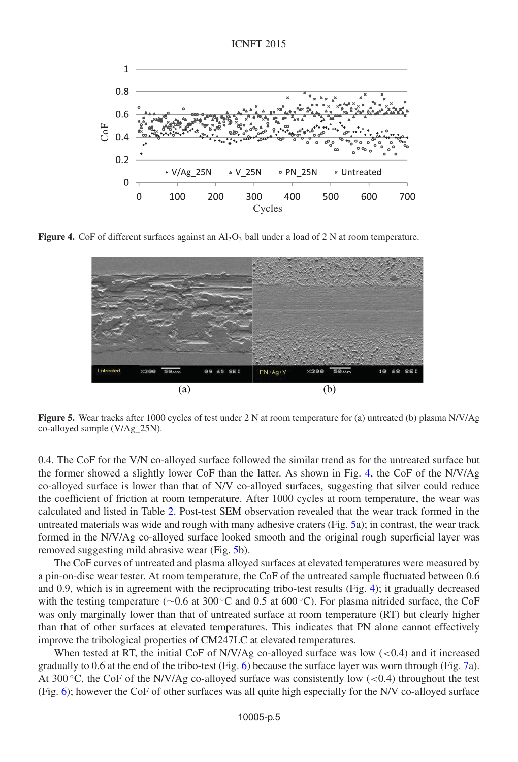<span id="page-4-0"></span>

<span id="page-4-1"></span>**Figure 4.** CoF of different surfaces against an  $Al_2O_3$  ball under a load of 2 N at room temperature.



**Figure 5.** Wear tracks after 1000 cycles of test under 2 N at room temperature for (a) untreated (b) plasma N/V/Ag co-alloyed sample (V/Ag\_25N).

0.4. The CoF for the V/N co-alloyed surface followed the similar trend as for the untreated surface but the former showed a slightly lower CoF than the latter. As shown in Fig. [4,](#page-4-0) the CoF of the N/V/Ag co-alloyed surface is lower than that of N/V co-alloyed surfaces, suggesting that silver could reduce the coefficient of friction at room temperature. After 1000 cycles at room temperature, the wear was calculated and listed in Table [2.](#page-2-1) Post-test SEM observation revealed that the wear track formed in the untreated materials was wide and rough with many adhesive craters (Fig. [5a](#page-4-1)); in contrast, the wear track formed in the N/V/Ag co-alloyed surface looked smooth and the original rough superficial layer was removed suggesting mild abrasive wear (Fig. [5b](#page-4-1)).

The CoF curves of untreated and plasma alloyed surfaces at elevated temperatures were measured by a pin-on-disc wear tester. At room temperature, the CoF of the untreated sample fluctuated between 0.6 and 0.9, which is in agreement with the reciprocating tribo-test results (Fig. [4\)](#page-4-0); it gradually decreased with the testing temperature (∼0.6 at 300 °C and 0.5 at 600 °C). For plasma nitrided surface, the CoF was only marginally lower than that of untreated surface at room temperature (RT) but clearly higher than that of other surfaces at elevated temperatures. This indicates that PN alone cannot effectively improve the tribological properties of CM247LC at elevated temperatures.

When tested at RT, the initial CoF of N/V/Ag co-alloyed surface was low  $(<0.4$ ) and it increased gradually to 0.6 at the end of the tribo-test (Fig. [6\)](#page-5-0) because the surface layer was worn through (Fig. [7a](#page-5-1)). At 300  $\degree$ C, the CoF of the N/V/Ag co-alloyed surface was consistently low (<0.4) throughout the test (Fig. [6\)](#page-5-0); however the CoF of other surfaces was all quite high especially for the N/V co-alloyed surface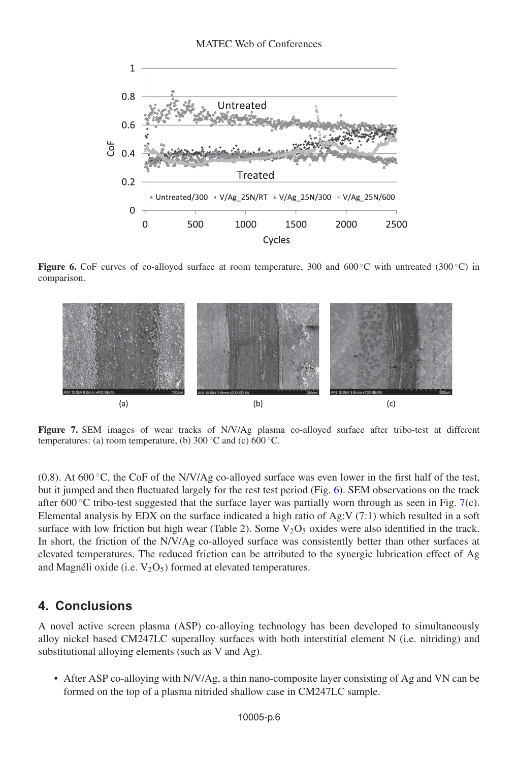<span id="page-5-0"></span>

<span id="page-5-1"></span>**Figure 6.** CoF curves of co-alloyed surface at room temperature, 300 and 600 °C with untreated (300 °C) in comparison.



**Figure 7.** SEM images of wear tracks of N/V/Ag plasma co-alloyed surface after tribo-test at different temperatures: (a) room temperature, (b)  $300\,^{\circ}\text{C}$  and (c)  $600\,^{\circ}\text{C}$ .

(0.8). At 600 °C, the CoF of the N/V/Ag co-alloyed surface was even lower in the first half of the test, but it jumped and then fluctuated largely for the rest test period (Fig. [6\)](#page-5-0). SEM observations on the track after 600 °C tribo-test suggested that the surface layer was partially worn through as seen in Fig. [7\(](#page-5-1)c). Elemental analysis by EDX on the surface indicated a high ratio of Ag:V (7:1) which resulted in a soft surface with low friction but high wear (Table 2). Some  $V_2O_5$  oxides were also identified in the track. In short, the friction of the N/V/Ag co-alloyed surface was consistently better than other surfaces at elevated temperatures. The reduced friction can be attributed to the synergic lubrication effect of Ag and Magnéli oxide (i.e.  $V_2O_5$ ) formed at elevated temperatures.

# **4. Conclusions**

A novel active screen plasma (ASP) co-alloying technology has been developed to simultaneously alloy nickel based CM247LC superalloy surfaces with both interstitial element N (i.e. nitriding) and substitutional alloying elements (such as V and Ag).

• After ASP co-alloying with N/V/Ag, a thin nano-composite layer consisting of Ag and VN can be formed on the top of a plasma nitrided shallow case in CM247LC sample.